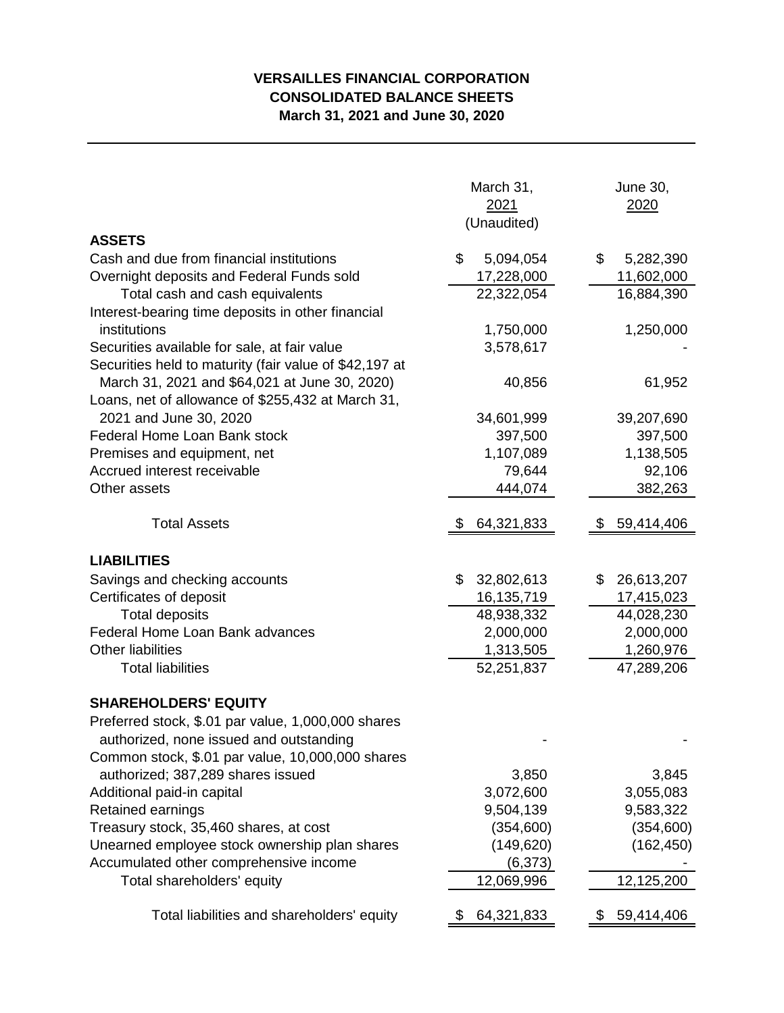## **VERSAILLES FINANCIAL CORPORATION CONSOLIDATED BALANCE SHEETS March 31, 2021 and June 30, 2020**

| <b>ASSETS</b>                                          | March 31,<br>2021<br>(Unaudited) | June 30,<br><u>2020</u> |  |  |
|--------------------------------------------------------|----------------------------------|-------------------------|--|--|
| Cash and due from financial institutions               | \$<br>5,094,054                  | \$<br>5,282,390         |  |  |
| Overnight deposits and Federal Funds sold              | 17,228,000                       | 11,602,000              |  |  |
| Total cash and cash equivalents                        | 22,322,054                       | 16,884,390              |  |  |
| Interest-bearing time deposits in other financial      |                                  |                         |  |  |
| institutions                                           | 1,750,000                        | 1,250,000               |  |  |
| Securities available for sale, at fair value           | 3,578,617                        |                         |  |  |
| Securities held to maturity (fair value of \$42,197 at |                                  |                         |  |  |
| March 31, 2021 and \$64,021 at June 30, 2020)          | 40,856                           | 61,952                  |  |  |
| Loans, net of allowance of \$255,432 at March 31,      |                                  |                         |  |  |
| 2021 and June 30, 2020                                 | 34,601,999                       | 39,207,690              |  |  |
| Federal Home Loan Bank stock                           | 397,500                          | 397,500                 |  |  |
| Premises and equipment, net                            | 1,107,089                        | 1,138,505               |  |  |
| Accrued interest receivable                            | 79,644                           | 92,106                  |  |  |
| Other assets                                           | 444,074                          | 382,263                 |  |  |
| <b>Total Assets</b>                                    | 64,321,833                       | 59,414,406              |  |  |
| <b>LIABILITIES</b>                                     |                                  |                         |  |  |
| Savings and checking accounts                          | \$<br>32,802,613                 | 26,613,207<br>\$        |  |  |
| Certificates of deposit                                | 16, 135, 719                     | 17,415,023              |  |  |
| <b>Total deposits</b>                                  | 48,938,332                       | 44,028,230              |  |  |
| Federal Home Loan Bank advances                        | 2,000,000                        | 2,000,000               |  |  |
| <b>Other liabilities</b>                               | 1,313,505                        | 1,260,976               |  |  |
| <b>Total liabilities</b>                               | 52,251,837                       | 47,289,206              |  |  |
| <b>SHAREHOLDERS' EQUITY</b>                            |                                  |                         |  |  |
| Preferred stock, \$.01 par value, 1,000,000 shares     |                                  |                         |  |  |
| authorized, none issued and outstanding                |                                  |                         |  |  |
| Common stock, \$.01 par value, 10,000,000 shares       |                                  |                         |  |  |
| authorized; 387,289 shares issued                      | 3,850                            | 3,845                   |  |  |
| Additional paid-in capital                             | 3,072,600                        | 3,055,083               |  |  |
| Retained earnings                                      | 9,504,139                        | 9,583,322               |  |  |
| Treasury stock, 35,460 shares, at cost                 | (354,600)                        | (354, 600)              |  |  |
| Unearned employee stock ownership plan shares          | (149, 620)                       | (162, 450)              |  |  |
| Accumulated other comprehensive income                 | (6, 373)                         |                         |  |  |
| Total shareholders' equity                             | 12,069,996                       | 12,125,200              |  |  |
| Total liabilities and shareholders' equity             | 64,321,833                       | 59,414,406              |  |  |